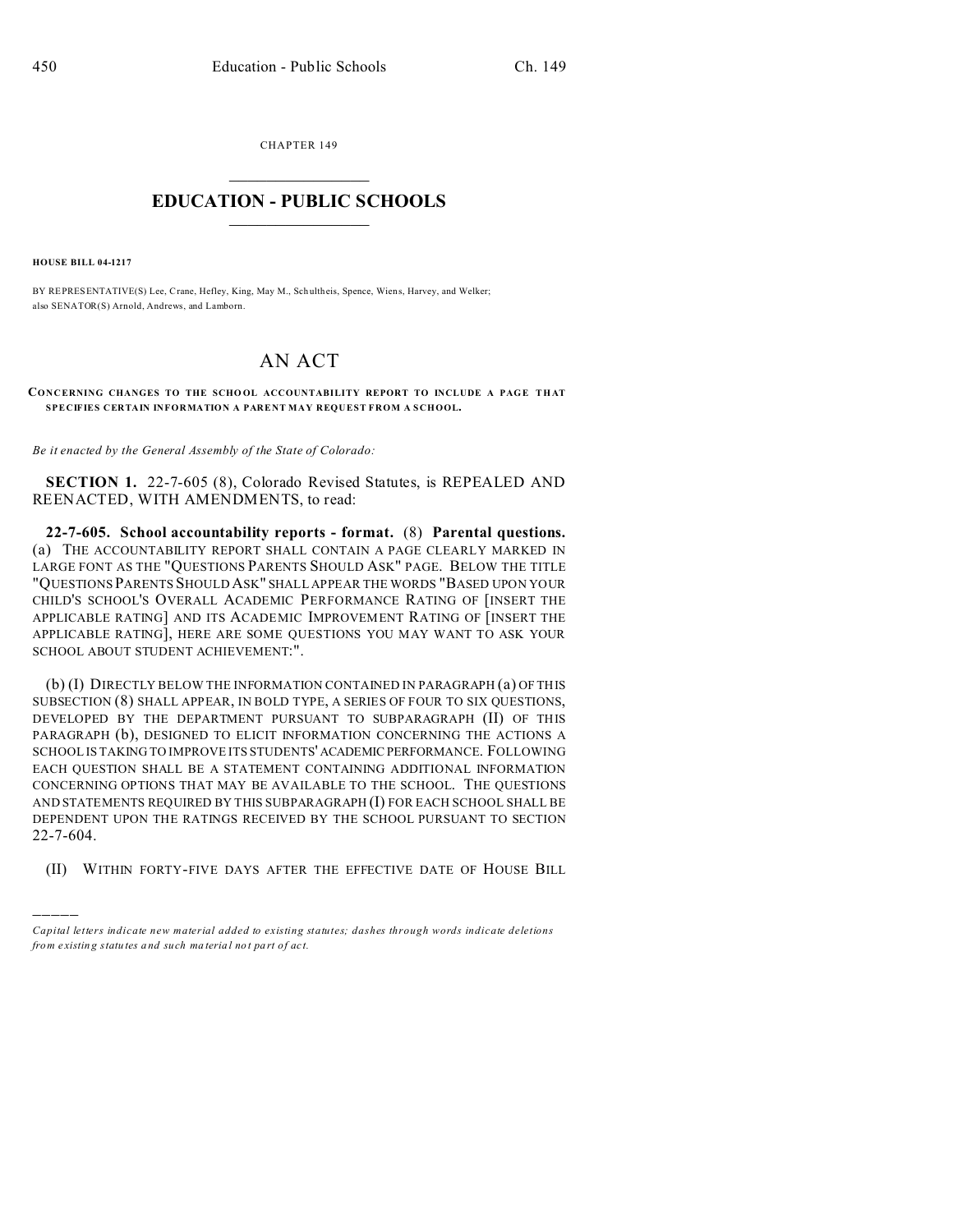CHAPTER 149  $\overline{\phantom{a}}$  , where  $\overline{\phantom{a}}$ 

## **EDUCATION - PUBLIC SCHOOLS**  $\_$   $\_$   $\_$   $\_$   $\_$   $\_$   $\_$   $\_$   $\_$

**HOUSE BILL 04-1217**

)))))

BY REPRESENTATIVE(S) Lee, Crane, Hefley, King, May M., Sch ultheis, Spence, Wiens, Harvey, and Welker; also SENATOR(S) Arnold, Andrews, and Lamborn.

## AN ACT

## CONCERNING CHANGES TO THE SCHOOL ACCOUNTABILITY REPORT TO INCLUDE A PAGE THAT **SPECIFIES CERTAIN INFORMATION A PARENT MAY REQUEST FROM A SCHOOL.**

*Be it enacted by the General Assembly of the State of Colorado:*

**SECTION 1.** 22-7-605 (8), Colorado Revised Statutes, is REPEALED AND REENACTED, WITH AMENDMENTS, to read:

**22-7-605. School accountability reports - format.** (8) **Parental questions.** (a) THE ACCOUNTABILITY REPORT SHALL CONTAIN A PAGE CLEARLY MARKED IN LARGE FONT AS THE "QUESTIONS PARENTS SHOULD ASK" PAGE. BELOW THE TITLE "QUESTIONS PARENTS SHOULD ASK" SHALL APPEAR THE WORDS "BASED UPON YOUR CHILD'S SCHOOL'S OVERALL ACADEMIC PERFORMANCE RATING OF [INSERT THE APPLICABLE RATING] AND ITS ACADEMIC IMPROVEMENT RATING OF [INSERT THE APPLICABLE RATING], HERE ARE SOME QUESTIONS YOU MAY WANT TO ASK YOUR SCHOOL ABOUT STUDENT ACHIEVEMENT:".

(b) (I) DIRECTLY BELOW THE INFORMATION CONTAINED IN PARAGRAPH (a) OF THIS SUBSECTION (8) SHALL APPEAR, IN BOLD TYPE, A SERIES OF FOUR TO SIX QUESTIONS, DEVELOPED BY THE DEPARTMENT PURSUANT TO SUBPARAGRAPH (II) OF THIS PARAGRAPH (b), DESIGNED TO ELICIT INFORMATION CONCERNING THE ACTIONS A SCHOOL IS TAKING TO IMPROVE ITS STUDENTS' ACADEMIC PERFORMANCE. FOLLOWING EACH QUESTION SHALL BE A STATEMENT CONTAINING ADDITIONAL INFORMATION CONCERNING OPTIONS THAT MAY BE AVAILABLE TO THE SCHOOL. THE QUESTIONS AND STATEMENTS REQUIRED BY THIS SUBPARAGRAPH (I) FOR EACH SCHOOL SHALL BE DEPENDENT UPON THE RATINGS RECEIVED BY THE SCHOOL PURSUANT TO SECTION 22-7-604.

(II) WITHIN FORTY-FIVE DAYS AFTER THE EFFECTIVE DATE OF HOUSE BILL

*Capital letters indicate new material added to existing statutes; dashes through words indicate deletions from e xistin g statu tes a nd such ma teria l no t pa rt of ac t.*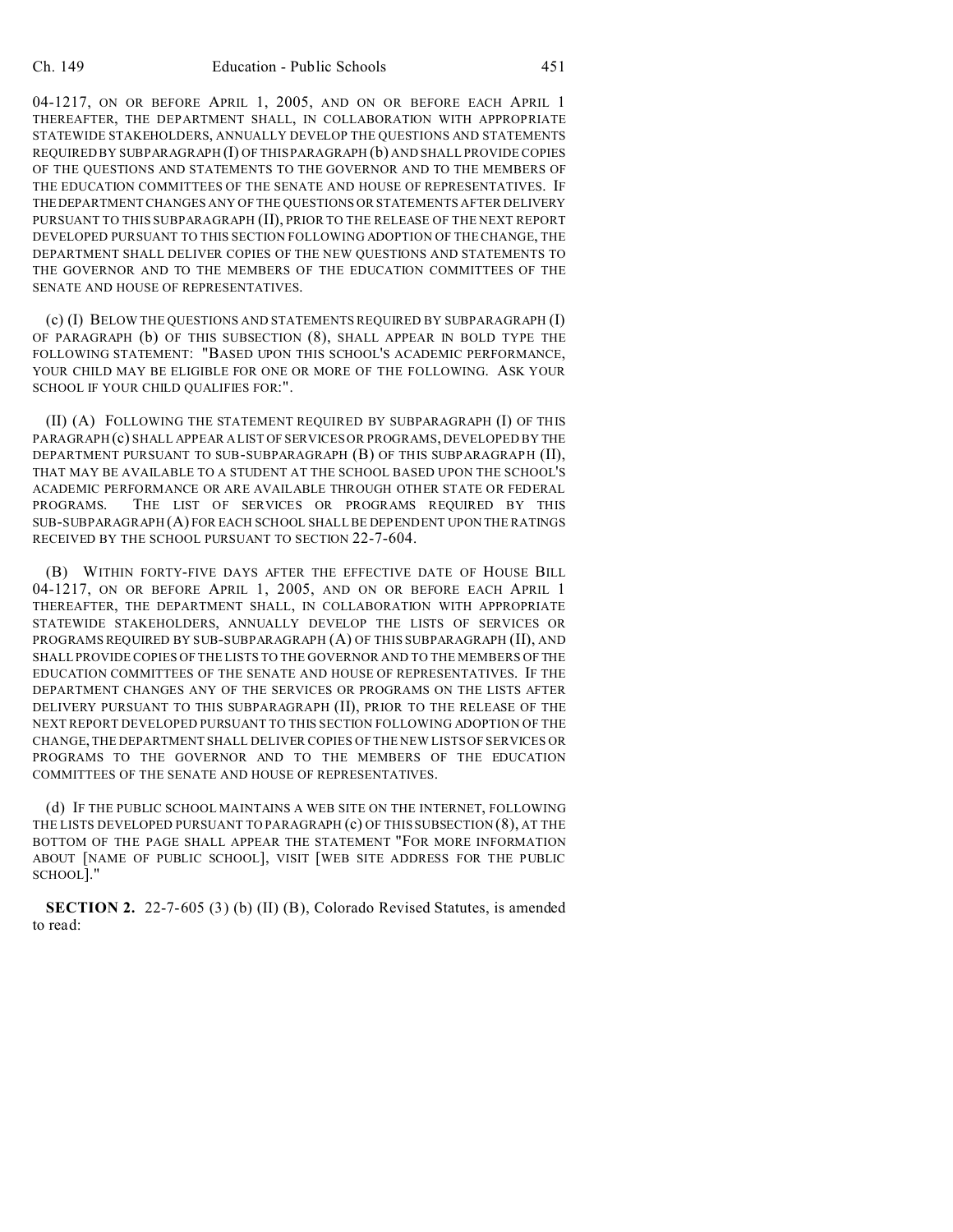04-1217, ON OR BEFORE APRIL 1, 2005, AND ON OR BEFORE EACH APRIL 1 THEREAFTER, THE DEPARTMENT SHALL, IN COLLABORATION WITH APPROPRIATE STATEWIDE STAKEHOLDERS, ANNUALLY DEVELOP THE QUESTIONS AND STATEMENTS REQUIRED BY SUBPARAGRAPH (I) OF THIS PARAGRAPH (b) AND SHALL PROVIDE COPIES OF THE QUESTIONS AND STATEMENTS TO THE GOVERNOR AND TO THE MEMBERS OF THE EDUCATION COMMITTEES OF THE SENATE AND HOUSE OF REPRESENTATIVES. IF THEDEPARTMENT CHANGES ANY OF THE QUESTIONS OR STATEMENTS AFTER DELIVERY PURSUANT TO THIS SUBPARAGRAPH (II), PRIOR TO THE RELEASE OF THE NEXT REPORT DEVELOPED PURSUANT TO THIS SECTION FOLLOWING ADOPTION OF THE CHANGE, THE DEPARTMENT SHALL DELIVER COPIES OF THE NEW QUESTIONS AND STATEMENTS TO THE GOVERNOR AND TO THE MEMBERS OF THE EDUCATION COMMITTEES OF THE SENATE AND HOUSE OF REPRESENTATIVES.

(c) (I) BELOW THE QUESTIONS AND STATEMENTS REQUIRED BY SUBPARAGRAPH (I) OF PARAGRAPH (b) OF THIS SUBSECTION (8), SHALL APPEAR IN BOLD TYPE THE FOLLOWING STATEMENT: "BASED UPON THIS SCHOOL'S ACADEMIC PERFORMANCE, YOUR CHILD MAY BE ELIGIBLE FOR ONE OR MORE OF THE FOLLOWING. ASK YOUR SCHOOL IF YOUR CHILD QUALIFIES FOR:".

(II) (A) FOLLOWING THE STATEMENT REQUIRED BY SUBPARAGRAPH (I) OF THIS PARAGRAPH (c) SHALL APPEAR A LIST OF SERVICES OR PROGRAMS, DEVELOPED BY THE DEPARTMENT PURSUANT TO SUB-SUBPARAGRAPH (B) OF THIS SUBPARAGRAPH (II), THAT MAY BE AVAILABLE TO A STUDENT AT THE SCHOOL BASED UPON THE SCHOOL'S ACADEMIC PERFORMANCE OR ARE AVAILABLE THROUGH OTHER STATE OR FEDERAL PROGRAMS. THE LIST OF SERVICES OR PROGRAMS REQUIRED BY THIS SUB-SUBPARAGRAPH (A) FOR EACH SCHOOL SHALL BE DEPENDENT UPON THE RATINGS RECEIVED BY THE SCHOOL PURSUANT TO SECTION 22-7-604.

(B) WITHIN FORTY-FIVE DAYS AFTER THE EFFECTIVE DATE OF HOUSE BILL 04-1217, ON OR BEFORE APRIL 1, 2005, AND ON OR BEFORE EACH APRIL 1 THEREAFTER, THE DEPARTMENT SHALL, IN COLLABORATION WITH APPROPRIATE STATEWIDE STAKEHOLDERS, ANNUALLY DEVELOP THE LISTS OF SERVICES OR PROGRAMS REQUIRED BY SUB-SUBPARAGRAPH (A) OF THIS SUBPARAGRAPH (II), AND SHALL PROVIDE COPIES OF THE LISTS TO THE GOVERNOR AND TO THE MEMBERS OF THE EDUCATION COMMITTEES OF THE SENATE AND HOUSE OF REPRESENTATIVES. IF THE DEPARTMENT CHANGES ANY OF THE SERVICES OR PROGRAMS ON THE LISTS AFTER DELIVERY PURSUANT TO THIS SUBPARAGRAPH (II), PRIOR TO THE RELEASE OF THE NEXT REPORT DEVELOPED PURSUANT TO THIS SECTION FOLLOWING ADOPTION OF THE CHANGE, THE DEPARTMENT SHALL DELIVER COPIES OF THE NEW LISTS OF SERVICES OR PROGRAMS TO THE GOVERNOR AND TO THE MEMBERS OF THE EDUCATION COMMITTEES OF THE SENATE AND HOUSE OF REPRESENTATIVES.

(d) IF THE PUBLIC SCHOOL MAINTAINS A WEB SITE ON THE INTERNET, FOLLOWING THE LISTS DEVELOPED PURSUANT TO PARAGRAPH (c) OF THIS SUBSECTION (8), AT THE BOTTOM OF THE PAGE SHALL APPEAR THE STATEMENT "FOR MORE INFORMATION ABOUT [NAME OF PUBLIC SCHOOL], VISIT [WEB SITE ADDRESS FOR THE PUBLIC SCHOOL]."

**SECTION 2.** 22-7-605 (3) (b) (II) (B), Colorado Revised Statutes, is amended to read: